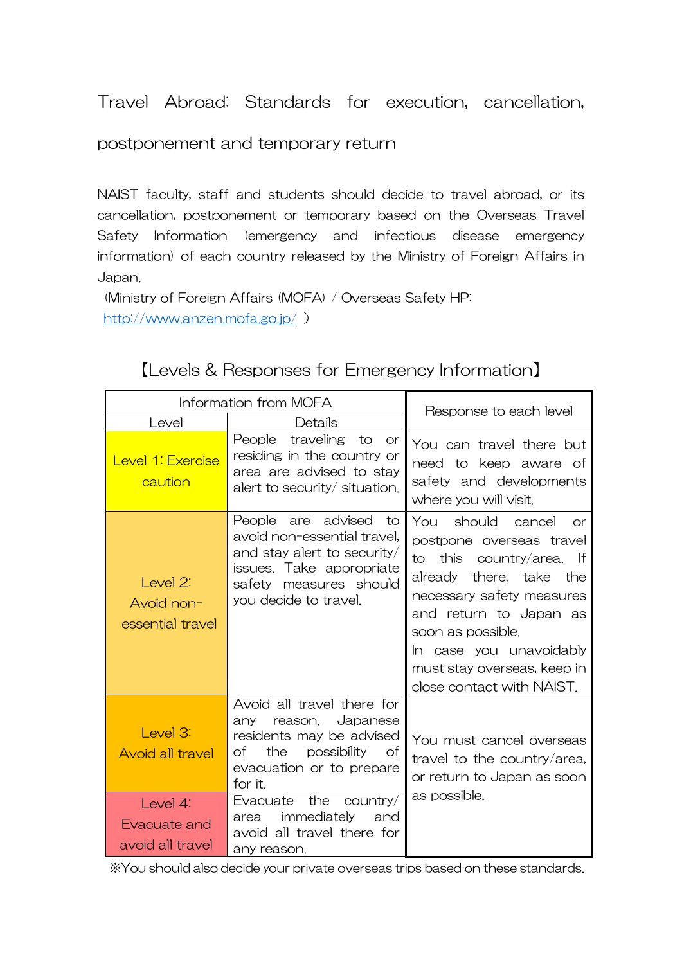Travel Abroad: Standards for execution, cancellation,

postponement and temporary return

NAIST faculty, staff and students should decide to travel abroad, or its cancellation, postponement or temporary based on the Overseas Travel Safety Information (emergency and infectious disease emergency information) of each country released by the Ministry of Foreign Affairs in Japan.

 (Ministry of Foreign Affairs (MOFA) / Overseas Safety HP: http://www.anzen.mofa.go.jp/ )

【Levels & Responses for Emergency Information】

| Information from MOFA                                                               |                                                                                                                                                                                                                                                                      |                                                                                                                                                                                                                                                                                                      |  |
|-------------------------------------------------------------------------------------|----------------------------------------------------------------------------------------------------------------------------------------------------------------------------------------------------------------------------------------------------------------------|------------------------------------------------------------------------------------------------------------------------------------------------------------------------------------------------------------------------------------------------------------------------------------------------------|--|
| Level                                                                               | Details                                                                                                                                                                                                                                                              | Response to each level                                                                                                                                                                                                                                                                               |  |
| Level 1: Exercise<br>caution                                                        | People traveling<br>to<br>or<br>residing in the country or<br>area are advised to stay<br>alert to security/ situation.                                                                                                                                              | You can travel there but<br>need to keep aware of<br>safety and developments<br>where you will visit.                                                                                                                                                                                                |  |
| Level 2:<br>Avoid non-<br>essential travel                                          | are advised<br>People<br>to to<br>avoid non-essential travel,<br>and stay alert to security/<br>issues. Take appropriate<br>safety measures should<br>you decide to travel.                                                                                          | You should cancel<br><sub>O</sub> r<br>postpone overseas travel<br>this<br>country/area. If<br>to<br>already there, take<br>the t<br>necessary safety measures<br>and return to Japan as<br>soon as possible.<br>In case you unavoidably<br>must stay overseas, keep in<br>close contact with NAIST. |  |
| Level 3:<br><b>Avoid all travel</b><br>Level 4:<br>Evacuate and<br>avoid all travel | Avoid all travel there for<br>Japanese<br>any<br>reason.<br>residents may be advised<br>possibility<br>of<br>the<br>Ωf<br>evacuation or to prepare<br>for it.<br>Evacuate the<br>country/<br>immediately<br>and<br>area<br>avoid all travel there for<br>any reason. | You must cancel overseas<br>travel to the country/area,<br>or return to Japan as soon<br>as possible.                                                                                                                                                                                                |  |

※You should also decide your private overseas trips based on these standards.